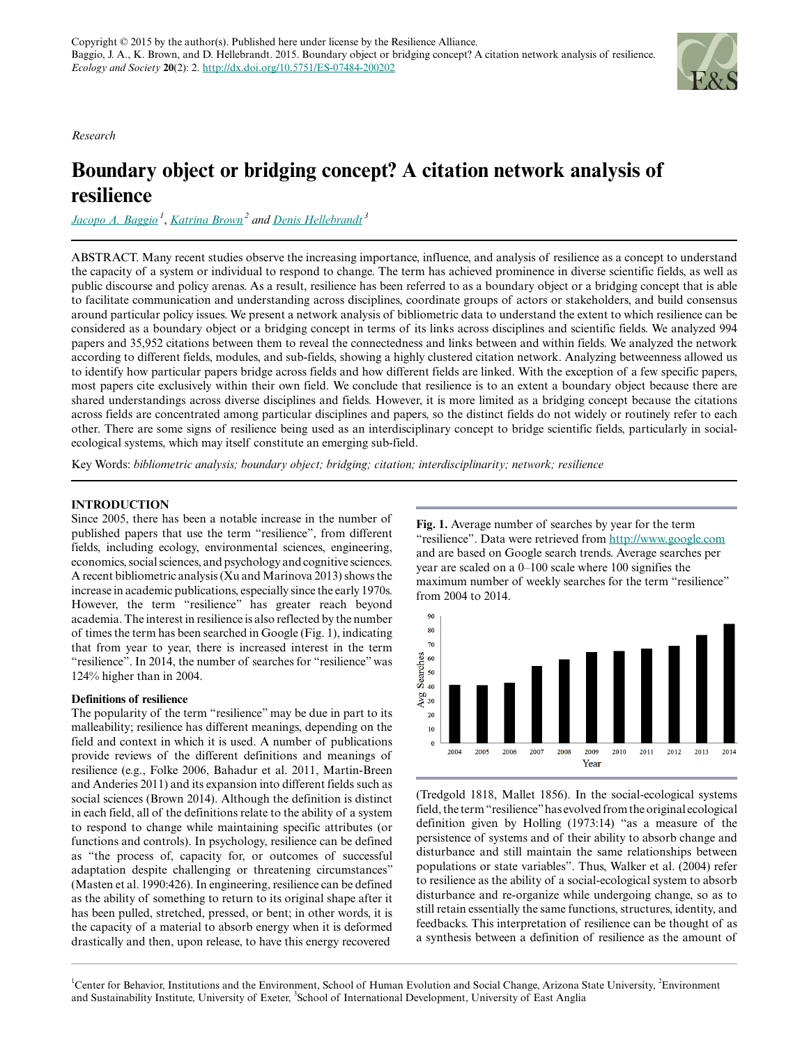*Research*

# **Boundary object or bridging concept? A citation network analysis of resilience**

*[Jacopo A. Baggio](mailto:jbaggio@asu.edu)<sup>1</sup>* , *[Katrina Brown](mailto:katrina.brown@exeter.ac.uk)<sup>2</sup> and [Denis Hellebrandt](mailto:d.hellebrandt@uea.ac.uk)<sup>3</sup>*

ABSTRACT. Many recent studies observe the increasing importance, influence, and analysis of resilience as a concept to understand the capacity of a system or individual to respond to change. The term has achieved prominence in diverse scientific fields, as well as public discourse and policy arenas. As a result, resilience has been referred to as a boundary object or a bridging concept that is able to facilitate communication and understanding across disciplines, coordinate groups of actors or stakeholders, and build consensus around particular policy issues. We present a network analysis of bibliometric data to understand the extent to which resilience can be considered as a boundary object or a bridging concept in terms of its links across disciplines and scientific fields. We analyzed 994 papers and 35,952 citations between them to reveal the connectedness and links between and within fields. We analyzed the network according to different fields, modules, and sub-fields, showing a highly clustered citation network. Analyzing betweenness allowed us to identify how particular papers bridge across fields and how different fields are linked. With the exception of a few specific papers, most papers cite exclusively within their own field. We conclude that resilience is to an extent a boundary object because there are shared understandings across diverse disciplines and fields. However, it is more limited as a bridging concept because the citations across fields are concentrated among particular disciplines and papers, so the distinct fields do not widely or routinely refer to each other. There are some signs of resilience being used as an interdisciplinary concept to bridge scientific fields, particularly in socialecological systems, which may itself constitute an emerging sub-field.

Key Words: *bibliometric analysis; boundary object; bridging; citation; interdisciplinarity; network; resilience*

# **INTRODUCTION**

Since 2005, there has been a notable increase in the number of published papers that use the term "resilience", from different fields, including ecology, environmental sciences, engineering, economics, social sciences, and psychology and cognitive sciences. A recent bibliometric analysis (Xu and Marinova 2013) shows the increase in academic publications, especially since the early 1970s. However, the term "resilience" has greater reach beyond academia. The interest in resilience is also reflected by the number of times the term has been searched in Google (Fig. 1), indicating that from year to year, there is increased interest in the term "resilience". In 2014, the number of searches for "resilience" was 124% higher than in 2004.

# **Definitions of resilience**

The popularity of the term "resilience" may be due in part to its malleability; resilience has different meanings, depending on the field and context in which it is used. A number of publications provide reviews of the different definitions and meanings of resilience (e.g., Folke 2006, Bahadur et al. 2011, Martin-Breen and Anderies 2011) and its expansion into different fields such as social sciences (Brown 2014). Although the definition is distinct in each field, all of the definitions relate to the ability of a system to respond to change while maintaining specific attributes (or functions and controls). In psychology, resilience can be defined as "the process of, capacity for, or outcomes of successful adaptation despite challenging or threatening circumstances" (Masten et al. 1990:426). In engineering, resilience can be defined as the ability of something to return to its original shape after it has been pulled, stretched, pressed, or bent; in other words, it is the capacity of a material to absorb energy when it is deformed drastically and then, upon release, to have this energy recovered

**Fig. 1.** Average number of searches by year for the term "resilience". Data were retrieved from<http://www.google.com> and are based on Google search trends. Average searches per year are scaled on a 0–100 scale where 100 signifies the maximum number of weekly searches for the term "resilience" from 2004 to 2014.



(Tredgold 1818, Mallet 1856). In the social-ecological systems field, the term "resilience" has evolved from the original ecological definition given by Holling (1973:14) "as a measure of the persistence of systems and of their ability to absorb change and disturbance and still maintain the same relationships between populations or state variables". Thus, Walker et al. (2004) refer to resilience as the ability of a social-ecological system to absorb disturbance and re-organize while undergoing change, so as to still retain essentially the same functions, structures, identity, and feedbacks. This interpretation of resilience can be thought of as a synthesis between a definition of resilience as the amount of

<sup>1</sup>Center for Behavior, Institutions and the Environment, School of Human Evolution and Social Change, Arizona State University, <sup>2</sup>Environment and Sustainability Institute, University of Exeter, <sup>3</sup>School of International Development, University of East Anglia

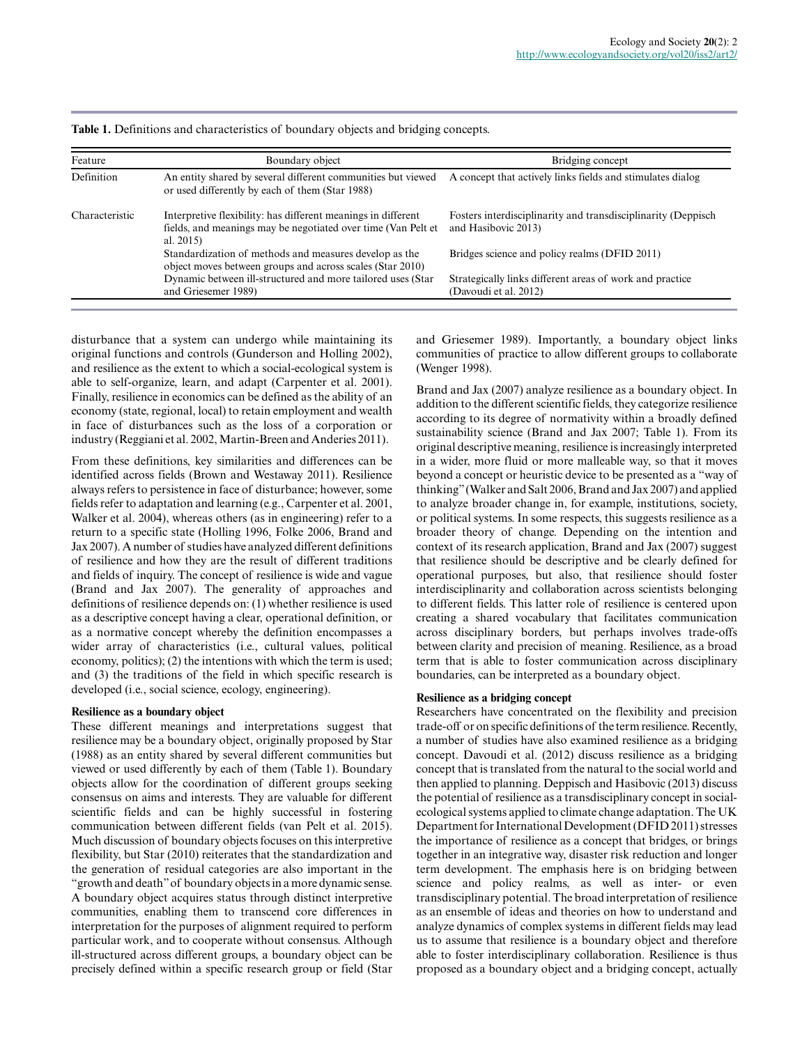| Feature           | Boundary object                                                                                                                             | Bridging concept                                                                     |  |  |  |
|-------------------|---------------------------------------------------------------------------------------------------------------------------------------------|--------------------------------------------------------------------------------------|--|--|--|
| <b>Definition</b> | An entity shared by several different communities but viewed<br>or used differently by each of them (Star 1988)                             | A concept that actively links fields and stimulates dialog                           |  |  |  |
| Characteristic    | Interpretive flexibility: has different meanings in different<br>fields, and meanings may be negotiated over time (Van Pelt et<br>al. 2015) | Fosters interdisciplinarity and transdisciplinarity (Deppisch<br>and Hasibovic 2013) |  |  |  |
|                   | Standardization of methods and measures develop as the<br>object moves between groups and across scales (Star 2010)                         | Bridges science and policy realms (DFID 2011)                                        |  |  |  |
|                   | Dynamic between ill-structured and more tailored uses (Star<br>and Griesemer 1989)                                                          | Strategically links different areas of work and practice<br>(Davoudi et al. 2012)    |  |  |  |

**Table 1.** Definitions and characteristics of boundary objects and bridging concepts.

disturbance that a system can undergo while maintaining its original functions and controls (Gunderson and Holling 2002), and resilience as the extent to which a social-ecological system is able to self-organize, learn, and adapt (Carpenter et al. 2001). Finally, resilience in economics can be defined as the ability of an economy (state, regional, local) to retain employment and wealth in face of disturbances such as the loss of a corporation or industry (Reggiani et al. 2002, Martin-Breen and Anderies 2011).

From these definitions, key similarities and differences can be identified across fields (Brown and Westaway 2011). Resilience always refers to persistence in face of disturbance; however, some fields refer to adaptation and learning (e.g., Carpenter et al. 2001, Walker et al. 2004), whereas others (as in engineering) refer to a return to a specific state (Holling 1996, Folke 2006, Brand and Jax 2007). A number of studies have analyzed different definitions of resilience and how they are the result of different traditions and fields of inquiry. The concept of resilience is wide and vague (Brand and Jax 2007). The generality of approaches and definitions of resilience depends on: (1) whether resilience is used as a descriptive concept having a clear, operational definition, or as a normative concept whereby the definition encompasses a wider array of characteristics (i.e., cultural values, political economy, politics); (2) the intentions with which the term is used; and (3) the traditions of the field in which specific research is developed (i.e., social science, ecology, engineering).

## **Resilience as a boundary object**

These different meanings and interpretations suggest that resilience may be a boundary object, originally proposed by Star (1988) as an entity shared by several different communities but viewed or used differently by each of them (Table 1). Boundary objects allow for the coordination of different groups seeking consensus on aims and interests. They are valuable for different scientific fields and can be highly successful in fostering communication between different fields (van Pelt et al. 2015). Much discussion of boundary objects focuses on this interpretive flexibility, but Star (2010) reiterates that the standardization and the generation of residual categories are also important in the "growth and death" of boundary objects in a more dynamic sense. A boundary object acquires status through distinct interpretive communities, enabling them to transcend core differences in interpretation for the purposes of alignment required to perform particular work, and to cooperate without consensus. Although ill-structured across different groups, a boundary object can be precisely defined within a specific research group or field (Star and Griesemer 1989). Importantly, a boundary object links communities of practice to allow different groups to collaborate (Wenger 1998).

Brand and Jax (2007) analyze resilience as a boundary object. In addition to the different scientific fields, they categorize resilience according to its degree of normativity within a broadly defined sustainability science (Brand and Jax 2007; Table 1). From its original descriptive meaning, resilience is increasingly interpreted in a wider, more fluid or more malleable way, so that it moves beyond a concept or heuristic device to be presented as a "way of thinking" (Walker and Salt 2006, Brand and Jax 2007) and applied to analyze broader change in, for example, institutions, society, or political systems. In some respects, this suggests resilience as a broader theory of change. Depending on the intention and context of its research application, Brand and Jax (2007) suggest that resilience should be descriptive and be clearly defined for operational purposes, but also, that resilience should foster interdisciplinarity and collaboration across scientists belonging to different fields. This latter role of resilience is centered upon creating a shared vocabulary that facilitates communication across disciplinary borders, but perhaps involves trade-offs between clarity and precision of meaning. Resilience, as a broad term that is able to foster communication across disciplinary boundaries, can be interpreted as a boundary object.

## **Resilience as a bridging concept**

Researchers have concentrated on the flexibility and precision trade-off or on specific definitions of the term resilience. Recently, a number of studies have also examined resilience as a bridging concept. Davoudi et al. (2012) discuss resilience as a bridging concept that is translated from the natural to the social world and then applied to planning. Deppisch and Hasibovic (2013) discuss the potential of resilience as a transdisciplinary concept in socialecological systems applied to climate change adaptation. The UK Department for International Development (DFID 2011) stresses the importance of resilience as a concept that bridges, or brings together in an integrative way, disaster risk reduction and longer term development. The emphasis here is on bridging between science and policy realms, as well as inter- or even transdisciplinary potential. The broad interpretation of resilience as an ensemble of ideas and theories on how to understand and analyze dynamics of complex systems in different fields may lead us to assume that resilience is a boundary object and therefore able to foster interdisciplinary collaboration. Resilience is thus proposed as a boundary object and a bridging concept, actually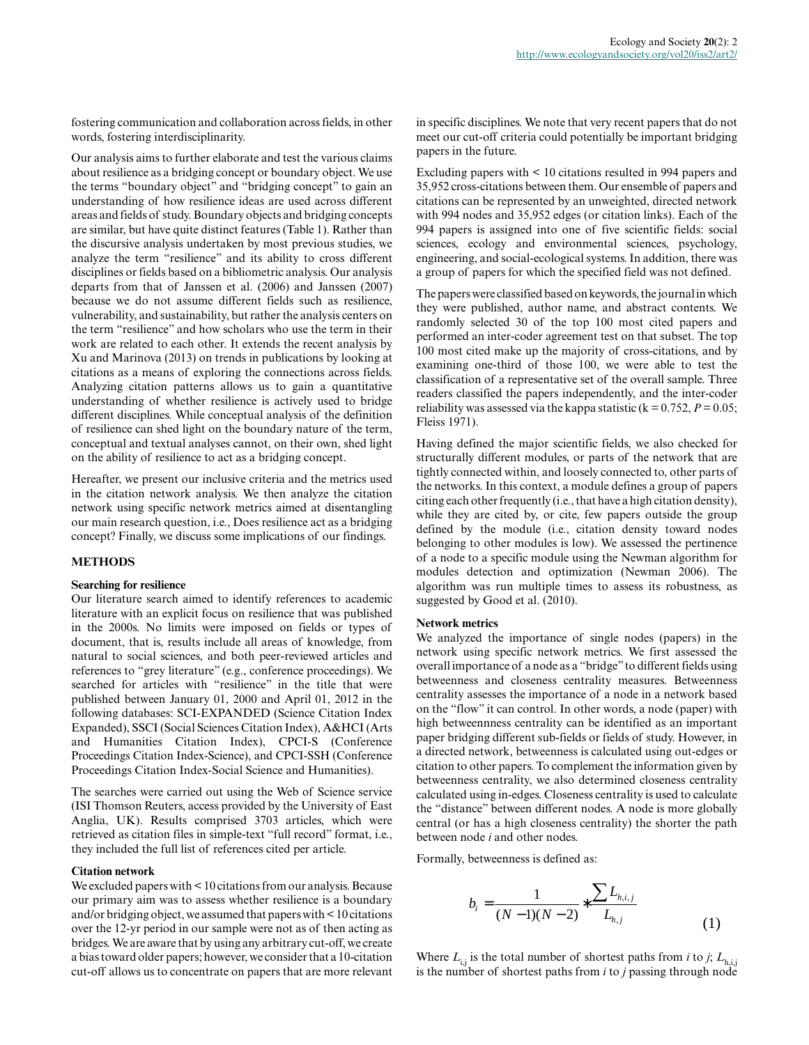fostering communication and collaboration across fields, in other words, fostering interdisciplinarity.

Our analysis aims to further elaborate and test the various claims about resilience as a bridging concept or boundary object. We use the terms "boundary object" and "bridging concept" to gain an understanding of how resilience ideas are used across different areas and fields of study. Boundary objects and bridging concepts are similar, but have quite distinct features (Table 1). Rather than the discursive analysis undertaken by most previous studies, we analyze the term "resilience" and its ability to cross different disciplines or fields based on a bibliometric analysis. Our analysis departs from that of Janssen et al. (2006) and Janssen (2007) because we do not assume different fields such as resilience, vulnerability, and sustainability, but rather the analysis centers on the term "resilience" and how scholars who use the term in their work are related to each other. It extends the recent analysis by Xu and Marinova (2013) on trends in publications by looking at citations as a means of exploring the connections across fields. Analyzing citation patterns allows us to gain a quantitative understanding of whether resilience is actively used to bridge different disciplines. While conceptual analysis of the definition of resilience can shed light on the boundary nature of the term, conceptual and textual analyses cannot, on their own, shed light on the ability of resilience to act as a bridging concept.

Hereafter, we present our inclusive criteria and the metrics used in the citation network analysis. We then analyze the citation network using specific network metrics aimed at disentangling our main research question, i.e., Does resilience act as a bridging concept? Finally, we discuss some implications of our findings.

# **METHODS**

#### **Searching for resilience**

Our literature search aimed to identify references to academic literature with an explicit focus on resilience that was published in the 2000s. No limits were imposed on fields or types of document, that is, results include all areas of knowledge, from natural to social sciences, and both peer-reviewed articles and references to "grey literature" (e.g., conference proceedings). We searched for articles with "resilience" in the title that were published between January 01, 2000 and April 01, 2012 in the following databases: SCI-EXPANDED (Science Citation Index Expanded), SSCI (Social Sciences Citation Index), A&HCI (Arts and Humanities Citation Index), CPCI-S (Conference Proceedings Citation Index-Science), and CPCI-SSH (Conference Proceedings Citation Index-Social Science and Humanities).

The searches were carried out using the Web of Science service (ISI Thomson Reuters, access provided by the University of East Anglia, UK). Results comprised 3703 articles, which were retrieved as citation files in simple-text "full record" format, i.e., they included the full list of references cited per article.

# **Citation network**

We excluded papers with < 10 citations from our analysis. Because our primary aim was to assess whether resilience is a boundary and/or bridging object, we assumed that papers with < 10 citations over the 12-yr period in our sample were not as of then acting as bridges. We are aware that by using any arbitrary cut-off, we create a bias toward older papers; however, we consider that a 10-citation cut-off allows us to concentrate on papers that are more relevant

in specific disciplines. We note that very recent papers that do not meet our cut-off criteria could potentially be important bridging papers in the future.

Excluding papers with < 10 citations resulted in 994 papers and 35,952 cross-citations between them. Our ensemble of papers and citations can be represented by an unweighted, directed network with 994 nodes and 35,952 edges (or citation links). Each of the 994 papers is assigned into one of five scientific fields: social sciences, ecology and environmental sciences, psychology, engineering, and social-ecological systems. In addition, there was a group of papers for which the specified field was not defined.

The papers were classified based on keywords, the journal in which they were published, author name, and abstract contents. We randomly selected 30 of the top 100 most cited papers and performed an inter-coder agreement test on that subset. The top 100 most cited make up the majority of cross-citations, and by examining one-third of those 100, we were able to test the classification of a representative set of the overall sample. Three readers classified the papers independently, and the inter-coder reliability was assessed via the kappa statistic ( $k = 0.752$ ,  $P = 0.05$ ; Fleiss 1971).

Having defined the major scientific fields, we also checked for structurally different modules, or parts of the network that are tightly connected within, and loosely connected to, other parts of the networks. In this context, a module defines a group of papers citing each other frequently (i.e., that have a high citation density), while they are cited by, or cite, few papers outside the group defined by the module (i.e., citation density toward nodes belonging to other modules is low). We assessed the pertinence of a node to a specific module using the Newman algorithm for modules detection and optimization (Newman 2006). The algorithm was run multiple times to assess its robustness, as suggested by Good et al. (2010).

#### **Network metrics**

We analyzed the importance of single nodes (papers) in the network using specific network metrics. We first assessed the overall importance of a node as a "bridge" to different fields using betweenness and closeness centrality measures. Betweenness centrality assesses the importance of a node in a network based on the "flow" it can control. In other words, a node (paper) with high betweennness centrality can be identified as an important paper bridging different sub-fields or fields of study. However, in a directed network, betweenness is calculated using out-edges or citation to other papers. To complement the information given by betweenness centrality, we also determined closeness centrality calculated using in-edges. Closeness centrality is used to calculate the "distance" between different nodes. A node is more globally central (or has a high closeness centrality) the shorter the path between node *i* and other nodes.

Formally, betweenness is defined as:

$$
b_i = \frac{1}{(N-1)(N-2)} * \frac{\sum L_{h,i,j}}{L_{h,j}}
$$
(1)

Where  $L_i$  is the total number of shortest paths from *i* to *j*;  $L$ <sub>h,i,j</sub> is the number of shortest paths from *i* to *j* passing through node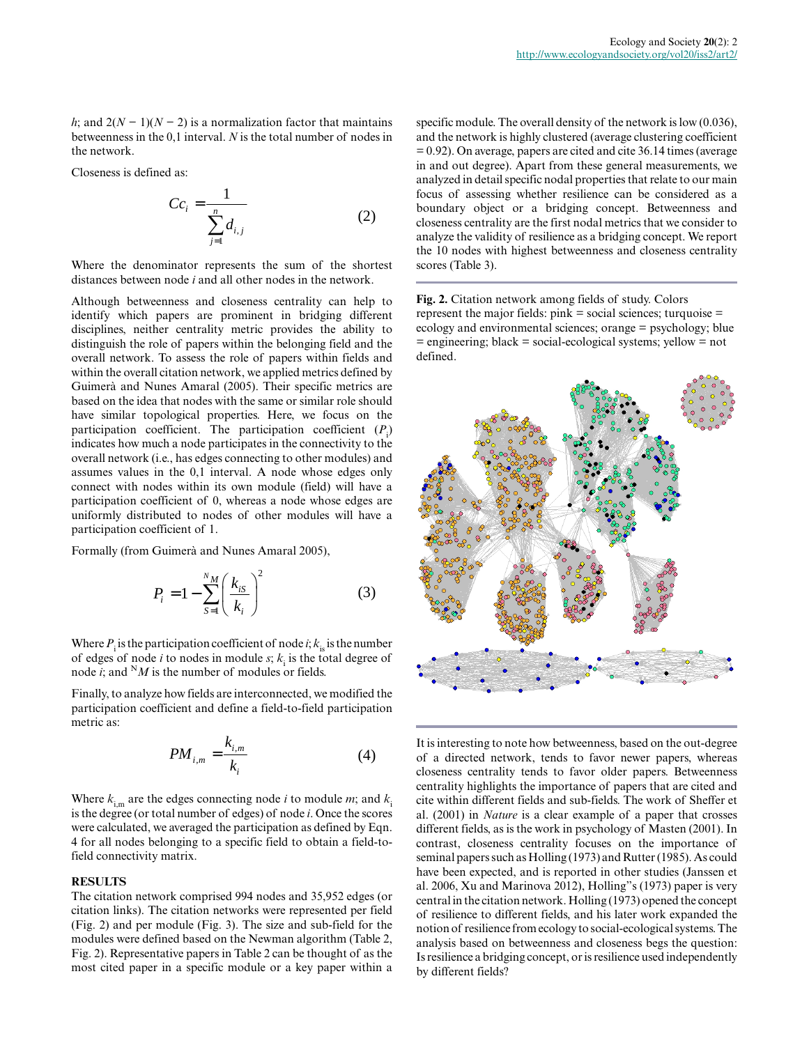*h*; and  $2(N-1)(N-2)$  is a normalization factor that maintains betweenness in the 0,1 interval. *N* is the total number of nodes in the network.

Closeness is defined as:

$$
Cc_i = \frac{1}{\sum_{j=1}^{n} d_{i,j}}
$$
 (2)

Where the denominator represents the sum of the shortest distances between node *i* and all other nodes in the network. *b* denominator represents between node *i* and all other

disciplines, neither centrality metric provides the ability to within the overall citation network, we applied metrics defined by ssess the role distinguish the role of papers within the belonging field and the ole of papers within the belonging field and t<br>
<sup>7</sup> To assess the role of papers within fields a<br> *l* citation network, we applied metrics defined assumes values in the 0,1 interval. A node whose edges only une 0,1<br>s withii connect with nodes within its own module (field) will have a<br>participation coefficient of 0, whereas a node whose edges are *k* assumes values in the 0,1 interval. A houe whose edges only connect with nodes within its own module (field) will have a Although betweenness and closeness centrality can help to identify which papers are prominent in bridging different Finding betweenness and closeness centrality can help to<br>identify which papers are prominent in bridging different overall network. To assess the role of papers within fields and Guimerà and Nunes Amaral (2005). Their specific metrics are based on the idea that nodes with the same or similar role should have similar topological properties. Here, we focus on the participation coefficient. The participation coefficient  $(P_i)$ indicates how much a node participates in the connectivity to the *i n Cc* = overall network (i.e., has edges connecting to other modules) and<br>assumes values in the 0.1 interval. A node whose edges only uniformly distributed to nodes of other modules will have a 1 *j* = participation coefficient of 1. hich papers are prom

Formally (from Guimerà and Nunes Amaral 2005),

$$
P_i = 1 - \sum_{s=1}^{N} \left(\frac{k_{is}}{k_i}\right)^2
$$
 (3)

Where  $P_i$  is the participation coefficient of node *i*;  $k_{is}$  is the number of edges of node *i* to nodes in module  $s$ ;  $k<sub>i</sub>$  is the total degree of node *i*; and  $^{N}M$  is the number of modules or fields.  $\frac{1}{2}$  *c* ipation coefficient of node *i*;  $k_{is}$  is the numb

efin participation coefficient and define a field-to-field participation<br>metric as: Finally, to analyze how fields are interconnected, we modified the metric as:

$$
PM_{i,m} = \frac{k_{i,m}}{k_i} \tag{4}
$$

Where  $k_{\text{im}}$  are the edges connecting node *i* to module *m*; and  $k_{\text{i}}$ is the degree (or total number of edges) of node *i*. Once the scores were calculated, we averaged the participation as defined by Eqn. 4 for all nodes belonging to a specific field to obtain a field-tofield connectivity matrix.

# **RESULTS**

The citation network comprised 994 nodes and 35,952 edges (or citation links). The citation networks were represented per field (Fig. 2) and per module (Fig. 3). The size and sub-field for the modules were defined based on the Newman algorithm (Table 2, Fig. 2). Representative papers in Table 2 can be thought of as the most cited paper in a specific module or a key paper within a specific module. The overall density of the network is low (0.036), and the network is highly clustered (average clustering coefficient = 0.92). On average, papers are cited and cite 36.14 times (average in and out degree). Apart from these general measurements, we analyzed in detail specific nodal properties that relate to our main focus of assessing whether resilience can be considered as a boundary object or a bridging concept. Betweenness and closeness centrality are the first nodal metrics that we consider to analyze the validity of resilience as a bridging concept. We report the 10 nodes with highest betweenness and closeness centrality scores (Table 3).

**Fig. 2.** Citation network among fields of study. Colors represent the major fields:  $\text{pink} = \text{social sciences}$ ; turquoise = ecology and environmental sciences; orange = psychology; blue  $=$  engineering; black  $=$  social-ecological systems; vellow  $=$  not defined.



It is interesting to note how betweenness, based on the out-degree of a directed network, tends to favor newer papers, whereas closeness centrality tends to favor older papers. Betweenness centrality highlights the importance of papers that are cited and cite within different fields and sub-fields. The work of Sheffer et al. (2001) in *Nature* is a clear example of a paper that crosses different fields, as is the work in psychology of Masten (2001). In contrast, closeness centrality focuses on the importance of seminal papers such as Holling (1973) and Rutter (1985). As could have been expected, and is reported in other studies (Janssen et al. 2006, Xu and Marinova 2012), Holling"s (1973) paper is very central in the citation network. Holling (1973) opened the concept of resilience to different fields, and his later work expanded the notion of resilience from ecology to social-ecological systems. The analysis based on betweenness and closeness begs the question: Is resilience a bridging concept, or is resilience used independently by different fields?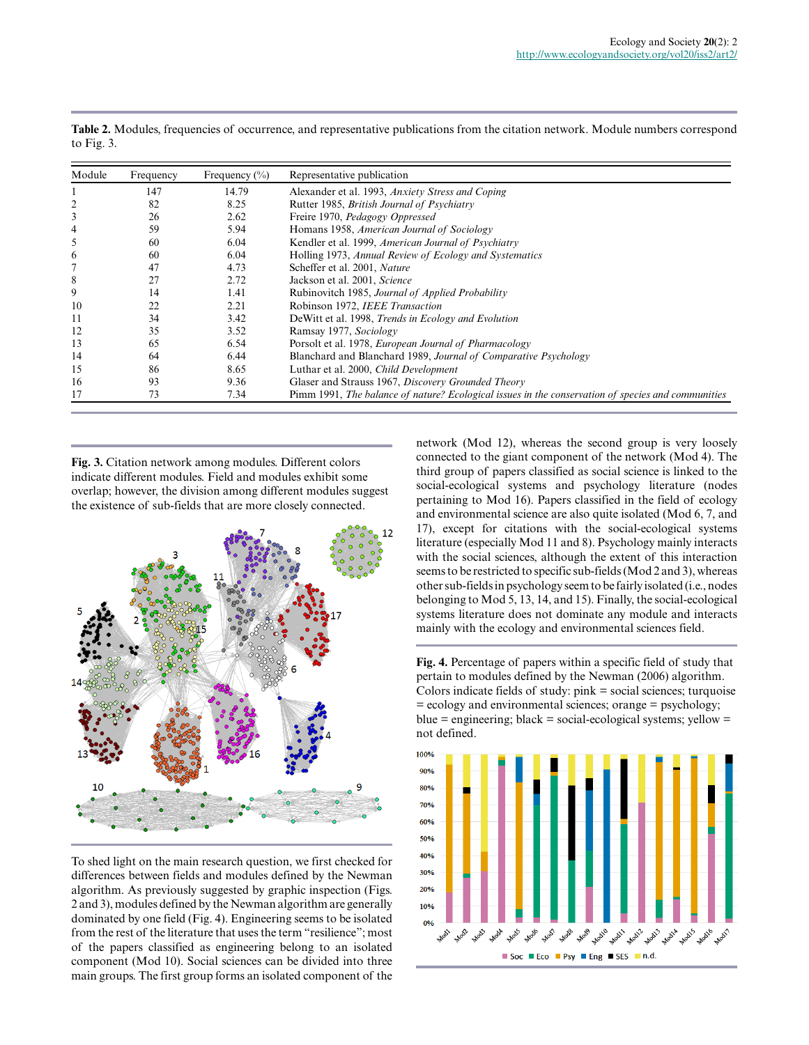| Module | Frequency | Frequency $(\% )$ | Representative publication                                                                         |
|--------|-----------|-------------------|----------------------------------------------------------------------------------------------------|
|        | 147       | 14.79             | Alexander et al. 1993, Anxiety Stress and Coping                                                   |
| 2      | 82        | 8.25              | Rutter 1985, British Journal of Psychiatry                                                         |
| 3      | 26        | 2.62              | Freire 1970, Pedagogy Oppressed                                                                    |
| 4      | 59        | 5.94              | Homans 1958, American Journal of Sociology                                                         |
| 5      | 60        | 6.04              | Kendler et al. 1999, American Journal of Psychiatry                                                |
| 6      | 60        | 6.04              | Holling 1973, Annual Review of Ecology and Systematics                                             |
|        | 47        | 4.73              | Scheffer et al. 2001, Nature                                                                       |
| 8      | 27        | 2.72              | Jackson et al. 2001, Science                                                                       |
| 9      | 14        | 1.41              | Rubinovitch 1985, Journal of Applied Probability                                                   |
| 10     | 22        | 2.21              | Robinson 1972, IEEE Transaction                                                                    |
| 11     | 34        | 3.42              | DeWitt et al. 1998, Trends in Ecology and Evolution                                                |
| 12     | 35        | 3.52              | Ramsay 1977, Sociology                                                                             |
| 13     | 65        | 6.54              | Porsolt et al. 1978, European Journal of Pharmacology                                              |
| 14     | 64        | 6.44              | Blanchard and Blanchard 1989, Journal of Comparative Psychology                                    |
| 15     | 86        | 8.65              | Luthar et al. 2000, Child Development                                                              |
| 16     | 93        | 9.36              | Glaser and Strauss 1967, Discovery Grounded Theory                                                 |
| 17     | 73        | 7.34              | Pimm 1991, The balance of nature? Ecological issues in the conservation of species and communities |

**Table 2.** Modules, frequencies of occurrence, and representative publications from the citation network. Module numbers correspond to Fig. 3.

**Fig. 3.** Citation network among modules. Different colors indicate different modules. Field and modules exhibit some overlap; however, the division among different modules suggest the existence of sub-fields that are more closely connected.



To shed light on the main research question, we first checked for differences between fields and modules defined by the Newman algorithm. As previously suggested by graphic inspection (Figs. 2 and 3), modules defined by the Newman algorithm are generally dominated by one field (Fig. 4). Engineering seems to be isolated from the rest of the literature that uses the term "resilience"; most of the papers classified as engineering belong to an isolated component (Mod 10). Social sciences can be divided into three main groups. The first group forms an isolated component of the network (Mod 12), whereas the second group is very loosely connected to the giant component of the network (Mod 4). The third group of papers classified as social science is linked to the social-ecological systems and psychology literature (nodes pertaining to Mod 16). Papers classified in the field of ecology and environmental science are also quite isolated (Mod 6, 7, and 17), except for citations with the social-ecological systems literature (especially Mod 11 and 8). Psychology mainly interacts with the social sciences, although the extent of this interaction seems to be restricted to specific sub-fields (Mod 2 and 3), whereas other sub-fields in psychology seem to be fairly isolated (i.e., nodes belonging to Mod 5, 13, 14, and 15). Finally, the social-ecological systems literature does not dominate any module and interacts mainly with the ecology and environmental sciences field.

**Fig. 4.** Percentage of papers within a specific field of study that pertain to modules defined by the Newman (2006) algorithm. Colors indicate fields of study: pink = social sciences; turquoise = ecology and environmental sciences; orange = psychology; blue = engineering; black = social-ecological systems; yellow = not defined.

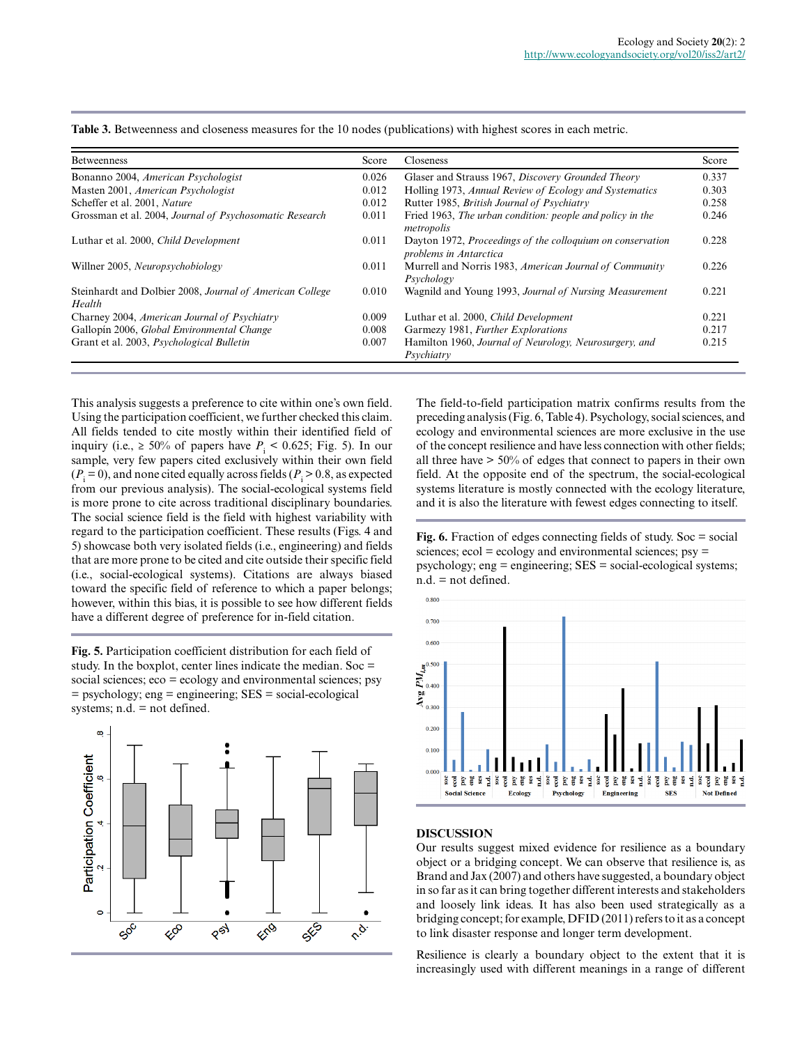| <b>Betweenness</b>                                                 |       | Closeness                                                                            | Score |  |
|--------------------------------------------------------------------|-------|--------------------------------------------------------------------------------------|-------|--|
| Bonanno 2004, American Psychologist                                | 0.026 | Glaser and Strauss 1967, Discovery Grounded Theory                                   | 0.337 |  |
| Masten 2001, American Psychologist                                 | 0.012 | Holling 1973, Annual Review of Ecology and Systematics                               | 0.303 |  |
| Scheffer et al. 2001, Nature                                       | 0.012 | Rutter 1985, British Journal of Psychiatry                                           | 0.258 |  |
| Grossman et al. 2004, Journal of Psychosomatic Research            | 0.011 | Fried 1963, The urban condition: people and policy in the<br>metropolis              | 0.246 |  |
| Luthar et al. 2000, Child Development                              | 0.011 | Dayton 1972, Proceedings of the colloquium on conservation<br>problems in Antarctica | 0.228 |  |
| Willner 2005, Neuropsychobiology                                   | 0.011 | Murrell and Norris 1983, American Journal of Community<br>Psychology                 | 0.226 |  |
| Steinhardt and Dolbier 2008, Journal of American College<br>Health | 0.010 | Wagnild and Young 1993, Journal of Nursing Measurement                               | 0.221 |  |
| Charney 2004, American Journal of Psychiatry                       | 0.009 | Luthar et al. 2000, Child Development                                                | 0.221 |  |
| Gallopín 2006, Global Environmental Change                         | 0.008 | Garmezy 1981, Further Explorations                                                   | 0.217 |  |
| Grant et al. 2003, <i>Psychological Bulletin</i>                   | 0.007 | Hamilton 1960, Journal of Neurology, Neurosurgery, and<br>Psychiatry                 | 0.215 |  |

**Table 3.** Betweenness and closeness measures for the 10 nodes (publications) with highest scores in each metric.

This analysis suggests a preference to cite within one's own field. Using the participation coefficient, we further checked this claim. All fields tended to cite mostly within their identified field of inquiry (i.e.,  $\geq 50\%$  of papers have  $P_i < 0.625$ ; Fig. 5). In our sample, very few papers cited exclusively within their own field  $(P_i = 0)$ , and none cited equally across fields  $(P_i > 0.8)$ , as expected from our previous analysis). The social-ecological systems field is more prone to cite across traditional disciplinary boundaries. The social science field is the field with highest variability with regard to the participation coefficient. These results (Figs. 4 and 5) showcase both very isolated fields (i.e., engineering) and fields that are more prone to be cited and cite outside their specific field (i.e., social-ecological systems). Citations are always biased toward the specific field of reference to which a paper belongs; however, within this bias, it is possible to see how different fields have a different degree of preference for in-field citation.

**Fig. 5.** Participation coefficient distribution for each field of study. In the boxplot, center lines indicate the median. Soc = social sciences;  $e_{\rm co} = \text{ecology}$  and environmental sciences; psy = psychology; eng = engineering; SES = social-ecological systems;  $n.d. = not defined.$ 



The field-to-field participation matrix confirms results from the preceding analysis (Fig. 6, Table 4). Psychology, social sciences, and ecology and environmental sciences are more exclusive in the use of the concept resilience and have less connection with other fields; all three have > 50% of edges that connect to papers in their own field. At the opposite end of the spectrum, the social-ecological systems literature is mostly connected with the ecology literature, and it is also the literature with fewest edges connecting to itself.

Fig. 6. Fraction of edges connecting fields of study. Soc = social sciences;  $\text{ecol} = \text{ecology}$  and environmental sciences;  $\text{psy} =$ psychology; eng = engineering; SES = social-ecological systems;  $n.d. = not defined.$ 



## **DISCUSSION**

Our results suggest mixed evidence for resilience as a boundary object or a bridging concept. We can observe that resilience is, as Brand and Jax (2007) and others have suggested, a boundary object in so far as it can bring together different interests and stakeholders and loosely link ideas. It has also been used strategically as a bridging concept; for example, DFID (2011) refers to it as a concept to link disaster response and longer term development.

Resilience is clearly a boundary object to the extent that it is increasingly used with different meanings in a range of different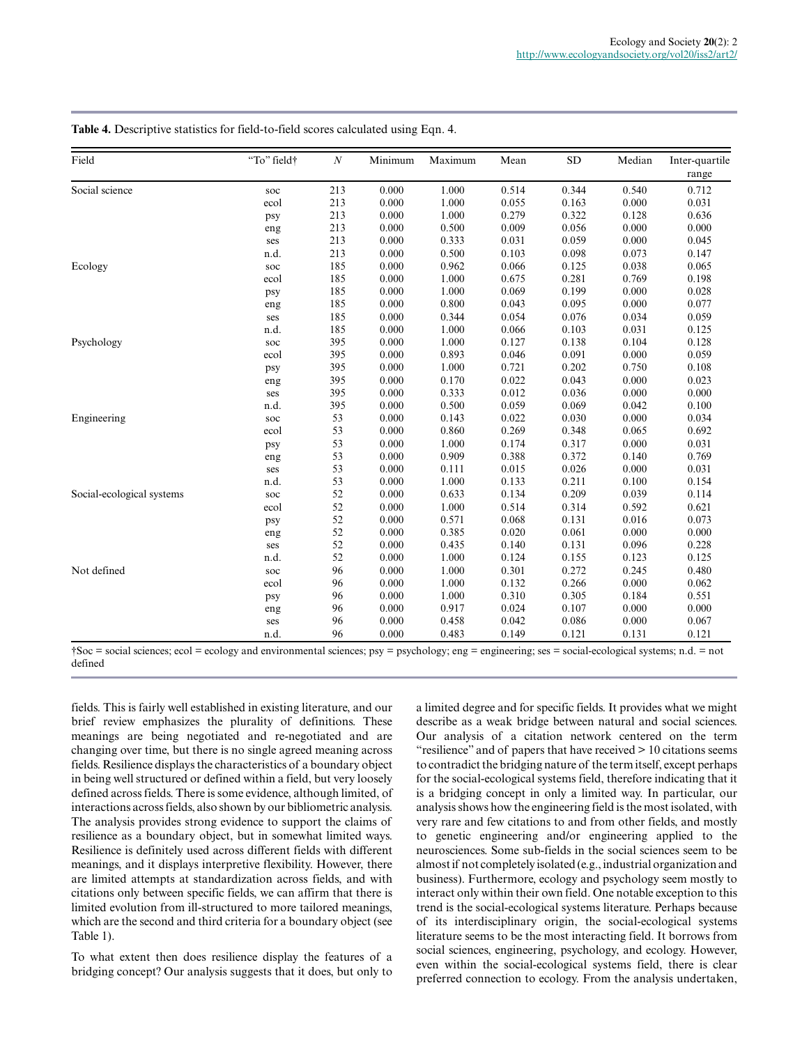| Field                     | "To" field†          | $\cal N$ | Minimum | Maximum | Mean  | ${\rm SD}$ | Median | Inter-quartile<br>range |
|---------------------------|----------------------|----------|---------|---------|-------|------------|--------|-------------------------|
| Social science            | $\operatorname{soc}$ | 213      | 0.000   | 1.000   | 0.514 | 0.344      | 0.540  | 0.712                   |
|                           | ecol                 | 213      | 0.000   | 1.000   | 0.055 | 0.163      | 0.000  | 0.031                   |
|                           | psy                  | 213      | 0.000   | 1.000   | 0.279 | 0.322      | 0.128  | 0.636                   |
|                           | eng                  | 213      | 0.000   | 0.500   | 0.009 | 0.056      | 0.000  | 0.000                   |
|                           | ses                  | 213      | 0.000   | 0.333   | 0.031 | 0.059      | 0.000  | 0.045                   |
|                           | n.d.                 | 213      | 0.000   | 0.500   | 0.103 | 0.098      | 0.073  | 0.147                   |
| Ecology                   | $\operatorname{soc}$ | 185      | 0.000   | 0.962   | 0.066 | 0.125      | 0.038  | 0.065                   |
|                           | ecol                 | 185      | 0.000   | 1.000   | 0.675 | 0.281      | 0.769  | 0.198                   |
|                           | psy                  | 185      | 0.000   | 1.000   | 0.069 | 0.199      | 0.000  | 0.028                   |
|                           | eng                  | 185      | 0.000   | 0.800   | 0.043 | 0.095      | 0.000  | 0.077                   |
|                           | ses                  | 185      | 0.000   | 0.344   | 0.054 | 0.076      | 0.034  | 0.059                   |
|                           | n.d.                 | 185      | 0.000   | 1.000   | 0.066 | 0.103      | 0.031  | 0.125                   |
| Psychology                | $\operatorname{soc}$ | 395      | 0.000   | 1.000   | 0.127 | 0.138      | 0.104  | 0.128                   |
|                           | ecol                 | 395      | 0.000   | 0.893   | 0.046 | 0.091      | 0.000  | 0.059                   |
|                           | psy                  | 395      | 0.000   | 1.000   | 0.721 | 0.202      | 0.750  | 0.108                   |
|                           | eng                  | 395      | 0.000   | 0.170   | 0.022 | 0.043      | 0.000  | 0.023                   |
|                           | ses                  | 395      | 0.000   | 0.333   | 0.012 | 0.036      | 0.000  | 0.000                   |
|                           | n.d.                 | 395      | 0.000   | 0.500   | 0.059 | 0.069      | 0.042  | 0.100                   |
| Engineering               | soc                  | 53       | 0.000   | 0.143   | 0.022 | 0.030      | 0.000  | 0.034                   |
|                           | ecol                 | 53       | 0.000   | 0.860   | 0.269 | 0.348      | 0.065  | 0.692                   |
|                           | psy                  | 53       | 0.000   | 1.000   | 0.174 | 0.317      | 0.000  | 0.031                   |
|                           | eng                  | 53       | 0.000   | 0.909   | 0.388 | 0.372      | 0.140  | 0.769                   |
|                           | ses                  | 53       | 0.000   | 0.111   | 0.015 | 0.026      | 0.000  | 0.031                   |
|                           | n.d.                 | 53       | 0.000   | 1.000   | 0.133 | 0.211      | 0.100  | 0.154                   |
| Social-ecological systems | soc                  | 52       | 0.000   | 0.633   | 0.134 | 0.209      | 0.039  | 0.114                   |
|                           | ecol                 | 52       | 0.000   | 1.000   | 0.514 | 0.314      | 0.592  | 0.621                   |
|                           | psy                  | 52       | 0.000   | 0.571   | 0.068 | 0.131      | 0.016  | 0.073                   |
|                           | eng                  | 52       | 0.000   | 0.385   | 0.020 | 0.061      | 0.000  | 0.000                   |
|                           | ses                  | 52       | 0.000   | 0.435   | 0.140 | 0.131      | 0.096  | 0.228                   |
|                           | n.d.                 | 52       | 0.000   | 1.000   | 0.124 | 0.155      | 0.123  | 0.125                   |
| Not defined               | $\operatorname{soc}$ | 96       | 0.000   | 1.000   | 0.301 | 0.272      | 0.245  | 0.480                   |
|                           | ecol                 | 96       | 0.000   | 1.000   | 0.132 | 0.266      | 0.000  | 0.062                   |
|                           | psy                  | 96       | 0.000   | 1.000   | 0.310 | 0.305      | 0.184  | 0.551                   |
|                           | eng                  | 96       | 0.000   | 0.917   | 0.024 | 0.107      | 0.000  | 0.000                   |
|                           | ses                  | 96       | 0.000   | 0.458   | 0.042 | 0.086      | 0.000  | 0.067                   |
|                           | n.d.                 | 96       | 0.000   | 0.483   | 0.149 | 0.121      | 0.131  | 0.121                   |

**Table 4.** Descriptive statistics for field-to-field scores calculated using Eqn. 4.

†Soc = social sciences; ecol = ecology and environmental sciences; psy = psychology; eng = engineering; ses = social-ecological systems; n.d. = not defined

fields. This is fairly well established in existing literature, and our brief review emphasizes the plurality of definitions. These meanings are being negotiated and re-negotiated and are changing over time, but there is no single agreed meaning across fields. Resilience displays the characteristics of a boundary object in being well structured or defined within a field, but very loosely defined across fields. There is some evidence, although limited, of interactions across fields, also shown by our bibliometric analysis. The analysis provides strong evidence to support the claims of resilience as a boundary object, but in somewhat limited ways. Resilience is definitely used across different fields with different meanings, and it displays interpretive flexibility. However, there are limited attempts at standardization across fields, and with citations only between specific fields, we can affirm that there is limited evolution from ill-structured to more tailored meanings, which are the second and third criteria for a boundary object (see Table 1).

To what extent then does resilience display the features of a bridging concept? Our analysis suggests that it does, but only to a limited degree and for specific fields. It provides what we might describe as a weak bridge between natural and social sciences. Our analysis of a citation network centered on the term "resilience" and of papers that have received > 10 citations seems to contradict the bridging nature of the term itself, except perhaps for the social-ecological systems field, therefore indicating that it is a bridging concept in only a limited way. In particular, our analysis shows how the engineering field is the most isolated, with very rare and few citations to and from other fields, and mostly to genetic engineering and/or engineering applied to the neurosciences. Some sub-fields in the social sciences seem to be almost if not completely isolated (e.g., industrial organization and business). Furthermore, ecology and psychology seem mostly to interact only within their own field. One notable exception to this trend is the social-ecological systems literature. Perhaps because of its interdisciplinary origin, the social-ecological systems literature seems to be the most interacting field. It borrows from social sciences, engineering, psychology, and ecology. However, even within the social-ecological systems field, there is clear preferred connection to ecology. From the analysis undertaken,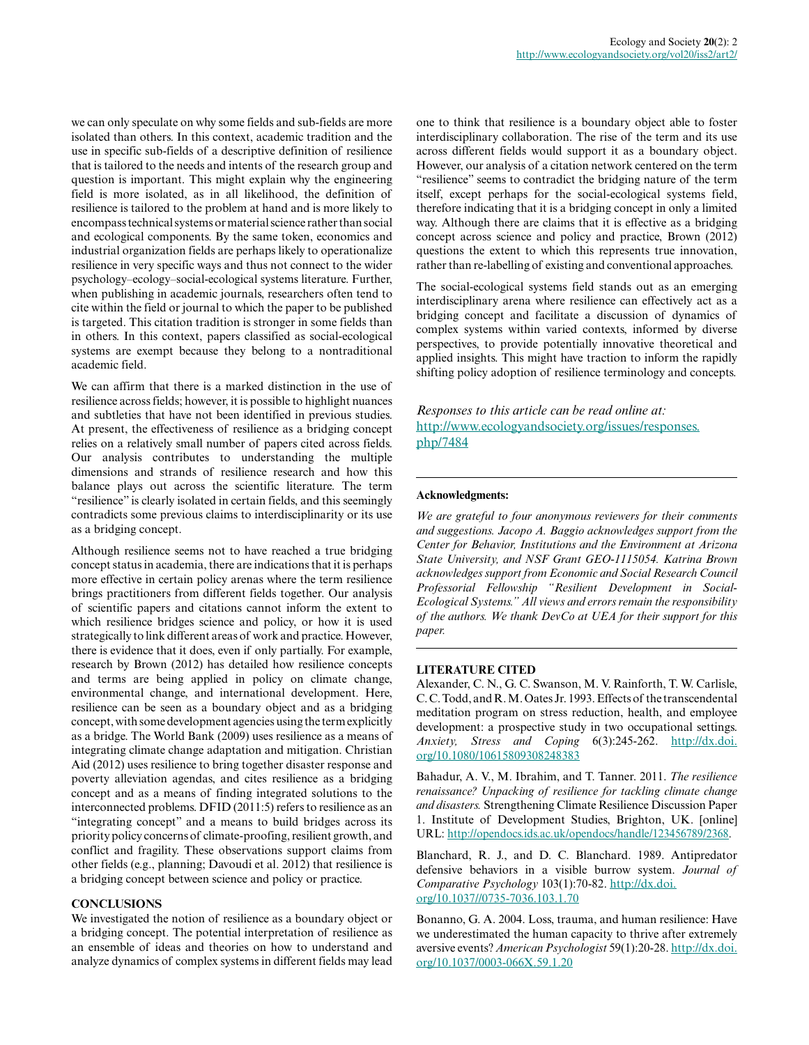we can only speculate on why some fields and sub-fields are more isolated than others. In this context, academic tradition and the use in specific sub-fields of a descriptive definition of resilience that is tailored to the needs and intents of the research group and question is important. This might explain why the engineering field is more isolated, as in all likelihood, the definition of resilience is tailored to the problem at hand and is more likely to encompass technical systems or material science rather than social and ecological components. By the same token, economics and industrial organization fields are perhaps likely to operationalize resilience in very specific ways and thus not connect to the wider psychology–ecology–social-ecological systems literature. Further, when publishing in academic journals, researchers often tend to cite within the field or journal to which the paper to be published is targeted. This citation tradition is stronger in some fields than in others. In this context, papers classified as social-ecological systems are exempt because they belong to a nontraditional academic field.

We can affirm that there is a marked distinction in the use of resilience across fields; however, it is possible to highlight nuances and subtleties that have not been identified in previous studies. At present, the effectiveness of resilience as a bridging concept relies on a relatively small number of papers cited across fields. Our analysis contributes to understanding the multiple dimensions and strands of resilience research and how this balance plays out across the scientific literature. The term "resilience" is clearly isolated in certain fields, and this seemingly contradicts some previous claims to interdisciplinarity or its use as a bridging concept.

Although resilience seems not to have reached a true bridging concept status in academia, there are indications that it is perhaps more effective in certain policy arenas where the term resilience brings practitioners from different fields together. Our analysis of scientific papers and citations cannot inform the extent to which resilience bridges science and policy, or how it is used strategically to link different areas of work and practice. However, there is evidence that it does, even if only partially. For example, research by Brown (2012) has detailed how resilience concepts and terms are being applied in policy on climate change, environmental change, and international development. Here, resilience can be seen as a boundary object and as a bridging concept, with some development agencies using the term explicitly as a bridge. The World Bank (2009) uses resilience as a means of integrating climate change adaptation and mitigation. Christian Aid (2012) uses resilience to bring together disaster response and poverty alleviation agendas, and cites resilience as a bridging concept and as a means of finding integrated solutions to the interconnected problems. DFID (2011:5) refers to resilience as an "integrating concept" and a means to build bridges across its priority policy concerns of climate-proofing, resilient growth, and conflict and fragility. These observations support claims from other fields (e.g., planning; Davoudi et al. 2012) that resilience is a bridging concept between science and policy or practice.

## **CONCLUSIONS**

We investigated the notion of resilience as a boundary object or a bridging concept. The potential interpretation of resilience as an ensemble of ideas and theories on how to understand and analyze dynamics of complex systems in different fields may lead one to think that resilience is a boundary object able to foster interdisciplinary collaboration. The rise of the term and its use across different fields would support it as a boundary object. However, our analysis of a citation network centered on the term "resilience" seems to contradict the bridging nature of the term itself, except perhaps for the social-ecological systems field, therefore indicating that it is a bridging concept in only a limited way. Although there are claims that it is effective as a bridging concept across science and policy and practice, Brown (2012) questions the extent to which this represents true innovation, rather than re-labelling of existing and conventional approaches.

The social-ecological systems field stands out as an emerging interdisciplinary arena where resilience can effectively act as a bridging concept and facilitate a discussion of dynamics of complex systems within varied contexts, informed by diverse perspectives, to provide potentially innovative theoretical and applied insights. This might have traction to inform the rapidly shifting policy adoption of resilience terminology and concepts.

*Responses to this article can be read online at:* [http://www.ecologyandsociety.org/issues/responses.](http://www.ecologyandsociety.org/issues/responses.php/7484) [php/7484](http://www.ecologyandsociety.org/issues/responses.php/7484)

# **Acknowledgments:**

*We are grateful to four anonymous reviewers for their comments and suggestions. Jacopo A. Baggio acknowledges support from the Center for Behavior, Institutions and the Environment at Arizona State University, and NSF Grant GEO-1115054. Katrina Brown acknowledges support from Economic and Social Research Council Professorial Fellowship "Resilient Development in Social-Ecological Systems." All views and errors remain the responsibility of the authors. We thank DevCo at UEA for their support for this paper.*

#### **LITERATURE CITED**

Alexander, C. N., G. C. Swanson, M. V. Rainforth, T. W. Carlisle, C. C. Todd, and R. M. Oates Jr. 1993. Effects of the transcendental meditation program on stress reduction, health, and employee development: a prospective study in two occupational settings. *Anxiety, Stress and Coping* 6(3):245-262. [http://dx.doi.](http://dx.doi.org/10.1080%2F10615809308248383) [org/10.1080/10615809308248383](http://dx.doi.org/10.1080%2F10615809308248383) 

Bahadur, A. V., M. Ibrahim, and T. Tanner. 2011. *The resilience renaissance? Unpacking of resilience for tackling climate change and disasters.* Strengthening Climate Resilience Discussion Paper 1. Institute of Development Studies, Brighton, UK. [online] URL: <http://opendocs.ids.ac.uk/opendocs/handle/123456789/2368>.

Blanchard, R. J., and D. C. Blanchard. 1989. Antipredator defensive behaviors in a visible burrow system. *Journal of Comparative Psychology* 103(1):70-82. [http://dx.doi.](http://dx.doi.org/10.1037%2F%2F0735-7036.103.1.70) [org/10.1037//0735-7036.103.1.70](http://dx.doi.org/10.1037%2F%2F0735-7036.103.1.70)

Bonanno, G. A. 2004. Loss, trauma, and human resilience: Have we underestimated the human capacity to thrive after extremely aversive events? *American Psychologist* 59(1):20-28. [http://dx.doi.](http://dx.doi.org/10.1037/0003-066X.59.1.20) [org/10.1037/0003-066X.59.1.20](http://dx.doi.org/10.1037/0003-066X.59.1.20)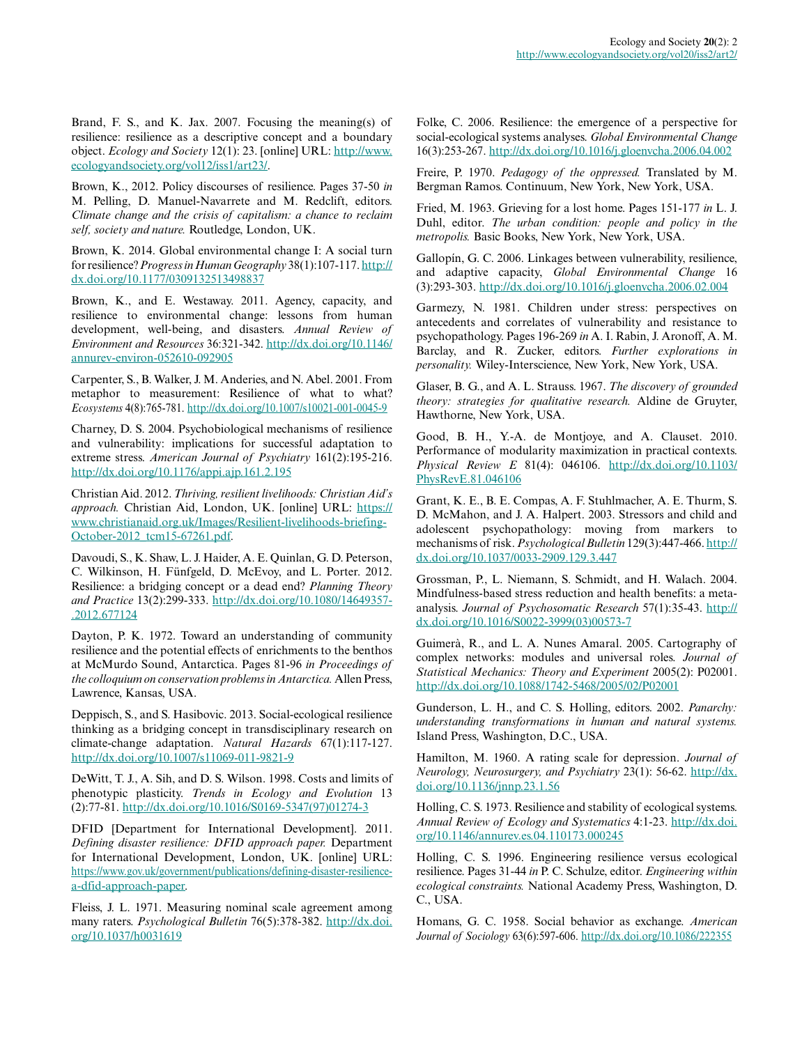Brand, F. S., and K. Jax. 2007. Focusing the meaning(s) of resilience: resilience as a descriptive concept and a boundary object. *Ecology and Society* 12(1): 23. [online] URL: [http://www.](http://www.ecologyandsociety.org/vol12/iss1/art23/) [ecologyandsociety.org/vol12/iss1/art23/](http://www.ecologyandsociety.org/vol12/iss1/art23/).

Brown, K., 2012. Policy discourses of resilience. Pages 37-50 *in* M. Pelling, D. Manuel-Navarrete and M. Redclift, editors. *Climate change and the crisis of capitalism: a chance to reclaim self, society and nature.* Routledge, London, UK.

Brown, K. 2014. Global environmental change I: A social turn for resilience? *Progress in Human Geography* 38(1):107-117. [http://](http://dx.doi.org/10.1177/0309132513498837) [dx.doi.org/10.1177/0309132513498837](http://dx.doi.org/10.1177/0309132513498837) 

Brown, K., and E. Westaway. 2011. Agency, capacity, and resilience to environmental change: lessons from human development, well-being, and disasters. *Annual Review of Environment and Resources* 36:321-342. [http://dx.doi.org/10.1146/](http://dx.doi.org/10.1146%2Fannurev-environ-052610-092905) [annurev-environ-052610-092905](http://dx.doi.org/10.1146%2Fannurev-environ-052610-092905)

Carpenter, S., B. Walker, J. M. Anderies, and N. Abel. 2001. From metaphor to measurement: Resilience of what to what? *Ecosystems* 4(8):765-781. <http://dx.doi.org/10.1007/s10021-001-0045-9>

Charney, D. S. 2004. Psychobiological mechanisms of resilience and vulnerability: implications for successful adaptation to extreme stress. *American Journal of Psychiatry* 161(2):195-216. <http://dx.doi.org/10.1176/appi.ajp.161.2.195>

Christian Aid. 2012. *Thriving, resilient livelihoods: Christian Aid's approach.* Christian Aid, London, UK. [online] URL: [https://](https://www.christianaid.org.uk/Images/Resilient-livelihoods-briefing-October-2012_tcm15-67261.pdf) [www.christianaid.org.uk/Images/Resilient-livelihoods-briefing-](https://www.christianaid.org.uk/Images/Resilient-livelihoods-briefing-October-2012_tcm15-67261.pdf)[October-2012\\_tcm15-67261.pdf.](https://www.christianaid.org.uk/Images/Resilient-livelihoods-briefing-October-2012_tcm15-67261.pdf)

Davoudi, S., K. Shaw, L. J. Haider, A. E. Quinlan, G. D. Peterson, C. Wilkinson, H. Fünfgeld, D. McEvoy, and L. Porter. 2012. Resilience: a bridging concept or a dead end? *Planning Theory and Practice* 13(2):299-333. [http://dx.doi.org/10.1080/14649357](http://dx.doi.org/10.1080/14649357.2012.677124) [.2012.677124](http://dx.doi.org/10.1080/14649357.2012.677124) 

Dayton, P. K. 1972. Toward an understanding of community resilience and the potential effects of enrichments to the benthos at McMurdo Sound, Antarctica. Pages 81-96 *in Proceedings of the colloquium on conservation problems in Antarctica.* Allen Press, Lawrence, Kansas, USA.

Deppisch, S., and S. Hasibovic. 2013. Social-ecological resilience thinking as a bridging concept in transdisciplinary research on climate-change adaptation. *Natural Hazards* 67(1):117-127. [http://dx.doi.org/10.1007/s11069-011-9821-9](http://dx.doi.org/10.1007%2Fs11069-011-9821-9)

DeWitt, T. J., A. Sih, and D. S. Wilson. 1998. Costs and limits of phenotypic plasticity. *Trends in Ecology and Evolution* 13 (2):77-81. [http://dx.doi.org/10.1016/S0169-5347\(97\)01274-3](http://dx.doi.org/10.1016%2FS0169-5347%2897%2901274-3) 

DFID [Department for International Development]. 2011. *Defining disaster resilience: DFID approach paper.* Department for International Development, London, UK. [online] URL: [https://www.gov.uk/government/publications/defining-disaster-resilience](https://www.gov.uk/government/publications/defining-disaster-resilience-a-dfid-approach-paper)[a-dfid-approach-paper.](https://www.gov.uk/government/publications/defining-disaster-resilience-a-dfid-approach-paper)

Fleiss, J. L. 1971. Measuring nominal scale agreement among many raters. *Psychological Bulletin* 76(5):378-382. [http://dx.doi.](http://dx.doi.org/10.1037%2Fh0031619) [org/10.1037/h0031619](http://dx.doi.org/10.1037%2Fh0031619) 

Folke, C. 2006. Resilience: the emergence of a perspective for social-ecological systems analyses. *Global Environmental Change* 16(3):253-267.<http://dx.doi.org/10.1016/j.gloenvcha.2006.04.002>

Freire, P. 1970. *Pedagogy of the oppressed.* Translated by M. Bergman Ramos. Continuum, New York, New York, USA.

Fried, M. 1963. Grieving for a lost home. Pages 151-177 *in* L. J. Duhl, editor. *The urban condition: people and policy in the metropolis.* Basic Books, New York, New York, USA.

Gallopín, G. C. 2006. Linkages between vulnerability, resilience, and adaptive capacity, *Global Environmental Change* 16 (3):293-303. <http://dx.doi.org/10.1016/j.gloenvcha.2006.02.004>

Garmezy, N. 1981. Children under stress: perspectives on antecedents and correlates of vulnerability and resistance to psychopathology. Pages 196-269 *in* A. I. Rabin, J. Aronoff, A. M. Barclay, and R. Zucker, editors. *Further explorations in personality.* Wiley-Interscience, New York, New York, USA.

Glaser, B. G., and A. L. Strauss. 1967. *The discovery of grounded theory: strategies for qualitative research.* Aldine de Gruyter, Hawthorne, New York, USA.

Good, B. H., Y.-A. de Montjoye, and A. Clauset. 2010. Performance of modularity maximization in practical contexts. *Physical Review E* 81(4): 046106. [http://dx.doi.org/10.1103/](http://dx.doi.org/10.1103%2FPhysRevE.81.046106) [PhysRevE.81.046106](http://dx.doi.org/10.1103%2FPhysRevE.81.046106) 

Grant, K. E., B. E. Compas, A. F. Stuhlmacher, A. E. Thurm, S. D. McMahon, and J. A. Halpert. 2003. Stressors and child and adolescent psychopathology: moving from markers to mechanisms of risk. *Psychological Bulletin* 129(3):447-466. [http://](http://dx.doi.org/10.1037%2F0033-2909.129.3.447) [dx.doi.org/10.1037/0033-2909.129.3.447](http://dx.doi.org/10.1037%2F0033-2909.129.3.447) 

Grossman, P., L. Niemann, S. Schmidt, and H. Walach. 2004. Mindfulness-based stress reduction and health benefits: a metaanalysis. *Journal of Psychosomatic Research* 57(1):35-43. [http://](http://dx.doi.org/10.1016/S0022-3999(03)00573-7) [dx.doi.org/10.1016/S0022-3999\(03\)00573-7](http://dx.doi.org/10.1016/S0022-3999(03)00573-7) 

Guimerà, R., and L. A. Nunes Amaral. 2005. Cartography of complex networks: modules and universal roles. *Journal of Statistical Mechanics: Theory and Experiment* 2005(2): P02001. [http://dx.doi.org/10.1088/1742-5468/2005/02/P02001](http://dx.doi.org/10.1088%2F1742-5468%2F2005%2F02%2FP02001) 

Gunderson, L. H., and C. S. Holling, editors. 2002. *Panarchy: understanding transformations in human and natural systems.* Island Press, Washington, D.C., USA.

Hamilton, M. 1960. A rating scale for depression. *Journal of Neurology, Neurosurgery, and Psychiatry* 23(1): 56-62. [http://dx.](http://dx.doi.org/10.1136%2Fjnnp.23.1.56) [doi.org/10.1136/jnnp.23.1.56](http://dx.doi.org/10.1136%2Fjnnp.23.1.56) 

Holling, C. S. 1973. Resilience and stability of ecological systems. *Annual Review of Ecology and Systematics* 4:1-23. [http://dx.doi.](http://dx.doi.org/10.1146%2Fannurev.es.04.110173.000245) [org/10.1146/annurev.es.04.110173.000245](http://dx.doi.org/10.1146%2Fannurev.es.04.110173.000245) 

Holling, C. S. 1996. Engineering resilience versus ecological resilience. Pages 31-44 *in* P. C. Schulze, editor. *Engineering within ecological constraints.* National Academy Press, Washington, D. C., USA.

Homans, G. C. 1958. Social behavior as exchange. *American Journal of Sociology* 63(6):597-606. [http://dx.doi.org/10.1086/222355](http://dx.doi.org/10.1086%2F222355)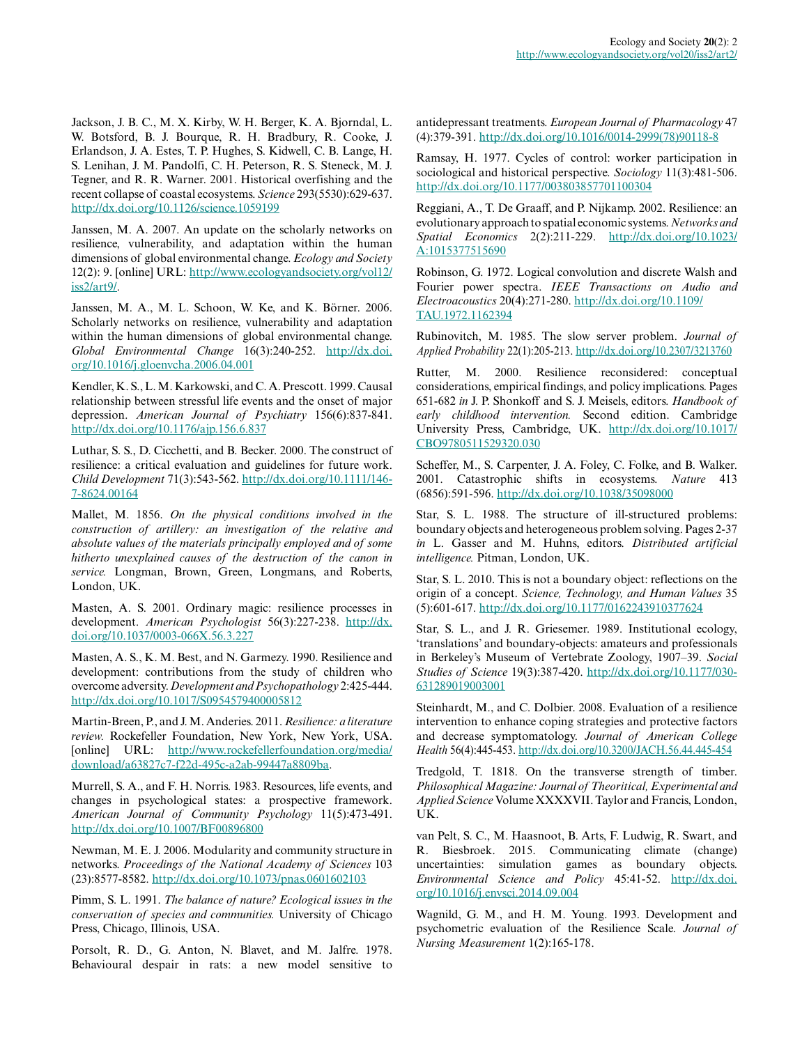Jackson, J. B. C., M. X. Kirby, W. H. Berger, K. A. Bjorndal, L. W. Botsford, B. J. Bourque, R. H. Bradbury, R. Cooke, J. Erlandson, J. A. Estes, T. P. Hughes, S. Kidwell, C. B. Lange, H. S. Lenihan, J. M. Pandolfi, C. H. Peterson, R. S. Steneck, M. J. Tegner, and R. R. Warner. 2001. Historical overfishing and the recent collapse of coastal ecosystems. *Science* 293(5530):629-637. <http://dx.doi.org/10.1126/science.1059199>

Janssen, M. A. 2007. An update on the scholarly networks on resilience, vulnerability, and adaptation within the human dimensions of global environmental change. *Ecology and Society* 12(2): 9. [online] URL: [http://www.ecologyandsociety.org/vol12/](http://www.ecologyandsociety.org/vol12/iss2/art9/) [iss2/art9/](http://www.ecologyandsociety.org/vol12/iss2/art9/).

Janssen, M. A., M. L. Schoon, W. Ke, and K. Börner. 2006. Scholarly networks on resilience, vulnerability and adaptation within the human dimensions of global environmental change. *Global Environmental Change* 16(3):240-252. [http://dx.doi.](http://dx.doi.org/10.1016%2Fj.gloenvcha.2006.04.001) [org/10.1016/j.gloenvcha.2006.04.001](http://dx.doi.org/10.1016%2Fj.gloenvcha.2006.04.001)

Kendler, K. S., L. M. Karkowski, and C. A. Prescott. 1999. Causal relationship between stressful life events and the onset of major depression. *American Journal of Psychiatry* 156(6):837-841. [http://dx.doi.org/10.1176/ajp.156.6.837](http://dx.doi.org/10.1176%2Fajp.156.6.837)

Luthar, S. S., D. Cicchetti, and B. Becker. 2000. The construct of resilience: a critical evaluation and guidelines for future work. *Child Development* 71(3):543-562. [http://dx.doi.org/10.1111/146](http://dx.doi.org/10.1111/1467-8624.00164) [7-8624.00164](http://dx.doi.org/10.1111/1467-8624.00164)

Mallet, M. 1856. *On the physical conditions involved in the construction of artillery: an investigation of the relative and absolute values of the materials principally employed and of some hitherto unexplained causes of the destruction of the canon in service.* Longman, Brown, Green, Longmans, and Roberts, London, UK.

Masten, A. S. 2001. Ordinary magic: resilience processes in development. *American Psychologist* 56(3):227-238. [http://dx.](http://dx.doi.org/10.1037/0003-066X.56.3.227) [doi.org/10.1037/0003-066X.56.3.227](http://dx.doi.org/10.1037/0003-066X.56.3.227) 

Masten, A. S., K. M. Best, and N. Garmezy. 1990. Resilience and development: contributions from the study of children who overcome adversity. *Development and Psychopathology* 2:425-444. <http://dx.doi.org/10.1017/S0954579400005812>

Martin-Breen, P., and J. M. Anderies. 2011. *Resilience: a literature review.* Rockefeller Foundation, New York, New York, USA. [online] URL: [http://www.rockefellerfoundation.org/media/](http://www.rockefellerfoundation.org/media/download/a63827c7-f22d-495c-a2ab-99447a8809ba) [download/a63827c7-f22d-495c-a2ab-99447a8809ba.](http://www.rockefellerfoundation.org/media/download/a63827c7-f22d-495c-a2ab-99447a8809ba)

Murrell, S. A., and F. H. Norris. 1983. Resources, life events, and changes in psychological states: a prospective framework. *American Journal of Community Psychology* 11(5):473-491. [http://dx.doi.org/10.1007/BF00896800](http://dx.doi.org/10.1007%2FBF00896800)

Newman, M. E. J. 2006. Modularity and community structure in networks. *Proceedings of the National Academy of Sciences* 103 (23):8577-8582. [http://dx.doi.org/10.1073/pnas.0601602103](http://dx.doi.org/10.1073%2Fpnas.0601602103)

Pimm, S. L. 1991. *The balance of nature? Ecological issues in the conservation of species and communities.* University of Chicago Press, Chicago, Illinois, USA.

Porsolt, R. D., G. Anton, N. Blavet, and M. Jalfre. 1978. Behavioural despair in rats: a new model sensitive to antidepressant treatments. *European Journal of Pharmacology* 47 (4):379-391. [http://dx.doi.org/10.1016/0014-2999\(78\)90118-8](http://dx.doi.org/10.1016%2F0014-2999%2878%2990118-8) 

Ramsay, H. 1977. Cycles of control: worker participation in sociological and historical perspective. *Sociology* 11(3):481-506. [http://dx.doi.org/10.1177/003803857701100304](http://dx.doi.org/10.1177%2F003803857701100304)

Reggiani, A., T. De Graaff, and P. Nijkamp. 2002. Resilience: an evolutionary approach to spatial economic systems. *Networks and Spatial Economics* 2(2):211-229. [http://dx.doi.org/10.1023/](http://dx.doi.org/10.1023/A:1015377515690) [A:1015377515690](http://dx.doi.org/10.1023/A:1015377515690) 

Robinson, G. 1972. Logical convolution and discrete Walsh and Fourier power spectra. *IEEE Transactions on Audio and Electroacoustics* 20(4):271-280. [http://dx.doi.org/10.1109/](http://dx.doi.org/10.1109%2FTAU.1972.1162394) [TAU.1972.1162394](http://dx.doi.org/10.1109%2FTAU.1972.1162394) 

Rubinovitch, M. 1985. The slow server problem. *Journal of Applied Probability* 22(1):205-213. [http://dx.doi.org/10.2307/3213760](http://dx.doi.org/10.2307%2F3213760) 

Rutter, M. 2000. Resilience reconsidered: conceptual considerations, empirical findings, and policy implications. Pages 651-682 *in* J. P. Shonkoff and S. J. Meisels, editors. *Handbook of early childhood intervention.* Second edition. Cambridge University Press, Cambridge, UK. [http://dx.doi.org/10.1017/](http://dx.doi.org/10.1017%2FCBO9780511529320.030) [CBO9780511529320.030](http://dx.doi.org/10.1017%2FCBO9780511529320.030) 

Scheffer, M., S. Carpenter, J. A. Foley, C. Folke, and B. Walker. 2001. Catastrophic shifts in ecosystems. *Nature* 413 (6856):591-596.<http://dx.doi.org/10.1038/35098000>

Star, S. L. 1988. The structure of ill-structured problems: boundary objects and heterogeneous problem solving. Pages 2-37 *in* L. Gasser and M. Huhns, editors. *Distributed artificial intelligence.* Pitman, London, UK.

Star, S. L. 2010. This is not a boundary object: reflections on the origin of a concept. *Science, Technology, and Human Values* 35 (5):601-617. <http://dx.doi.org/10.1177/0162243910377624>

Star, S. L., and J. R. Griesemer. 1989. Institutional ecology, 'translations' and boundary-objects: amateurs and professionals in Berkeley's Museum of Vertebrate Zoology, 1907–39. *Social Studies of Science* 19(3):387-420. [http://dx.doi.org/10.1177/030](http://dx.doi.org/10.1177/030631289019003001) [631289019003001](http://dx.doi.org/10.1177/030631289019003001)

Steinhardt, M., and C. Dolbier. 2008. Evaluation of a resilience intervention to enhance coping strategies and protective factors and decrease symptomatology. *Journal of American College Health* 56(4):445-453.<http://dx.doi.org/10.3200/JACH.56.44.445-454>

Tredgold, T. 1818. On the transverse strength of timber. *Philosophical Magazine: Journal of Theoritical, Experimental and Applied Science* Volume XXXXVII. Taylor and Francis, London, UK.

van Pelt, S. C., M. Haasnoot, B. Arts, F. Ludwig, R. Swart, and R. Biesbroek. 2015. Communicating climate (change) uncertainties: simulation games as boundary objects. *Environmental Science and Policy* 45:41-52. [http://dx.doi.](http://dx.doi.org/10.1016%2Fj.envsci.2014.09.004) [org/10.1016/j.envsci.2014.09.004](http://dx.doi.org/10.1016%2Fj.envsci.2014.09.004) 

Wagnild, G. M., and H. M. Young. 1993. Development and psychometric evaluation of the Resilience Scale. *Journal of Nursing Measurement* 1(2):165-178.